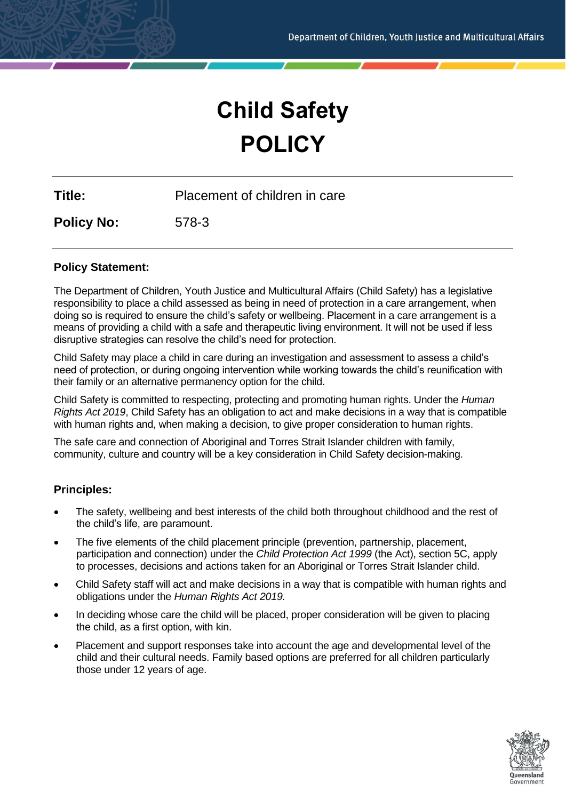# **Child Safety POLICY**

**Title:** Placement of children in care

**Policy No:** 578-3

## **Policy Statement:**

The Department of Children, Youth Justice and Multicultural Affairs (Child Safety) has a legislative responsibility to place a child assessed as being in need of protection in a care arrangement, when doing so is required to ensure the child's safety or wellbeing. Placement in a care arrangement is a means of providing a child with a safe and therapeutic living environment. It will not be used if less disruptive strategies can resolve the child's need for protection.

Child Safety may place a child in care during an investigation and assessment to assess a child's need of protection, or during ongoing intervention while working towards the child's reunification with their family or an alternative permanency option for the child.

Child Safety is committed to respecting, protecting and promoting human rights. Under the *Human Rights Act 2019*, Child Safety has an obligation to act and make decisions in a way that is compatible with human rights and, when making a decision, to give proper consideration to human rights.

The safe care and connection of Aboriginal and Torres Strait Islander children with family, community, culture and country will be a key consideration in Child Safety decision-making.

# **Principles:**

- The safety, wellbeing and best interests of the child both throughout childhood and the rest of the child's life, are paramount.
- The five elements of the child placement principle (prevention, partnership, placement, participation and connection) under the *Child Protection Act 1999* (the Act), section 5C, apply to processes, decisions and actions taken for an Aboriginal or Torres Strait Islander child.
- Child Safety staff will act and make decisions in a way that is compatible with human rights and obligations under the *Human Rights Act 2019.*
- In deciding whose care the child will be placed, proper consideration will be given to placing the child, as a first option, with kin.
- Placement and support responses take into account the age and developmental level of the child and their cultural needs. Family based options are preferred for all children particularly those under 12 years of age.

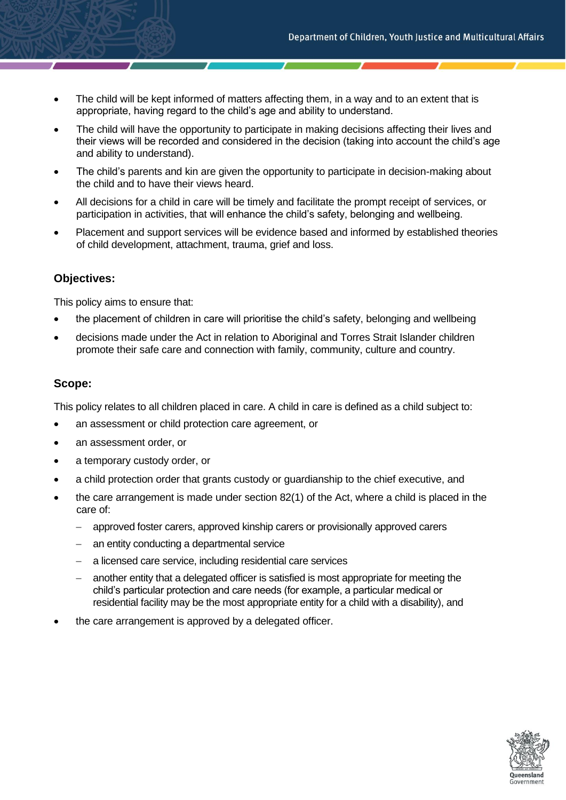- The child will be kept informed of matters affecting them, in a way and to an extent that is appropriate, having regard to the child's age and ability to understand.
- The child will have the opportunity to participate in making decisions affecting their lives and their views will be recorded and considered in the decision (taking into account the child's age and ability to understand).
- The child's parents and kin are given the opportunity to participate in decision-making about the child and to have their views heard.
- All decisions for a child in care will be timely and facilitate the prompt receipt of services, or participation in activities, that will enhance the child's safety, belonging and wellbeing.
- Placement and support services will be evidence based and informed by established theories of child development, attachment, trauma, grief and loss.

### **Objectives:**

This policy aims to ensure that:

- the placement of children in care will prioritise the child's safety, belonging and wellbeing
- decisions made under the Act in relation to Aboriginal and Torres Strait Islander children promote their safe care and connection with family, community, culture and country.

#### **Scope:**

This policy relates to all children placed in care. A child in care is defined as a child subject to:

- an assessment or child protection care agreement, or
- an assessment order, or
- a temporary custody order, or
- a child protection order that grants custody or guardianship to the chief executive, and
- the care arrangement is made under section 82(1) of the Act, where a child is placed in the care of:
	- − approved foster carers, approved kinship carers or provisionally approved carers
	- − an entity conducting a departmental service
	- − a licensed care service, including residential care services
	- another entity that a delegated officer is satisfied is most appropriate for meeting the child's particular protection and care needs (for example, a particular medical or residential facility may be the most appropriate entity for a child with a disability), and
- the care arrangement is approved by a delegated officer.

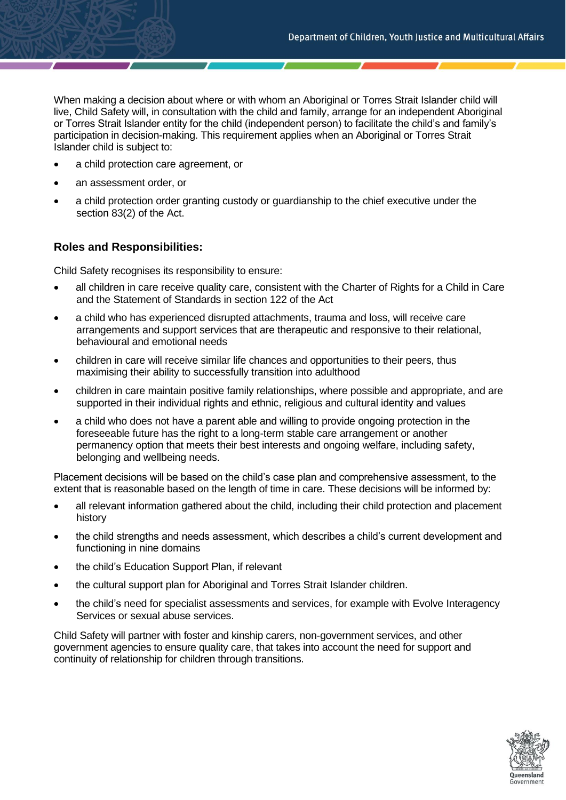When making a decision about where or with whom an Aboriginal or Torres Strait Islander child will live, Child Safety will, in consultation with the child and family, arrange for an independent Aboriginal or Torres Strait Islander entity for the child (independent person) to facilitate the child's and family's participation in decision-making. This requirement applies when an Aboriginal or Torres Strait Islander child is subject to:

- a child protection care agreement, or
- an assessment order, or
- a child protection order granting custody or guardianship to the chief executive under the section 83(2) of the Act.

## **Roles and Responsibilities:**

Child Safety recognises its responsibility to ensure:

- all children in care receive quality care, consistent with the Charter of Rights for a Child in Care and the Statement of Standards in section 122 of the Act
- a child who has experienced disrupted attachments, trauma and loss, will receive care arrangements and support services that are therapeutic and responsive to their relational, behavioural and emotional needs
- children in care will receive similar life chances and opportunities to their peers, thus maximising their ability to successfully transition into adulthood
- children in care maintain positive family relationships, where possible and appropriate, and are supported in their individual rights and ethnic, religious and cultural identity and values
- a child who does not have a parent able and willing to provide ongoing protection in the foreseeable future has the right to a long-term stable care arrangement or another permanency option that meets their best interests and ongoing welfare, including safety, belonging and wellbeing needs.

Placement decisions will be based on the child's case plan and comprehensive assessment, to the extent that is reasonable based on the length of time in care. These decisions will be informed by:

- all relevant information gathered about the child, including their child protection and placement history
- the child strengths and needs assessment, which describes a child's current development and functioning in nine domains
- the child's Education Support Plan, if relevant
- the cultural support plan for Aboriginal and Torres Strait Islander children.
- the child's need for specialist assessments and services, for example with Evolve Interagency Services or sexual abuse services.

Child Safety will partner with foster and kinship carers, non-government services, and other government agencies to ensure quality care, that takes into account the need for support and continuity of relationship for children through transitions.

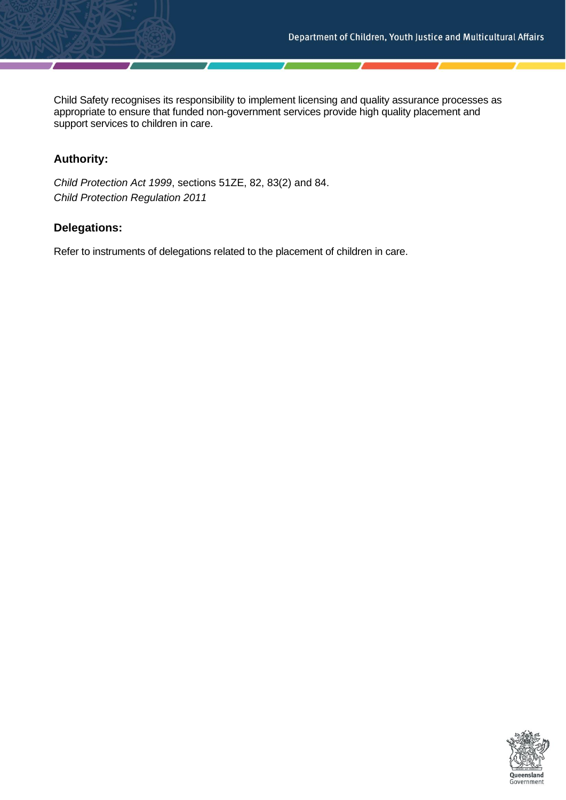Child Safety recognises its responsibility to implement licensing and quality assurance processes as appropriate to ensure that funded non-government services provide high quality placement and support services to children in care.

# **Authority:**

*Child Protection Act 1999*, sections 51ZE, 82, 83(2) and 84. *Child Protection Regulation 2011*

## **Delegations:**

Refer to instruments of delegations related to the placement of children in care.